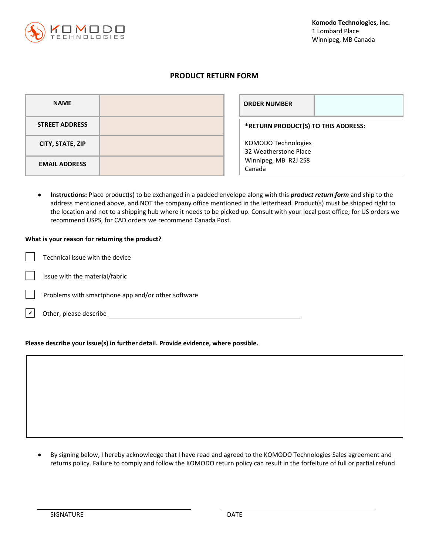

## **PRODUCT RETURN FORM**

| <b>NAME</b>           | <b>ORDER NUMBER</b>                          |
|-----------------------|----------------------------------------------|
| <b>STREET ADDRESS</b> | *RETURN PRODUCT(S) TO THIS ADDRESS:          |
| CITY, STATE, ZIP      | KOMODO Technologies<br>32 Weatherstone Place |
| <b>EMAIL ADDRESS</b>  | Winnipeg, MB R2J 2S8<br>Canada               |

• **Instructions:** Place product(s) to be exchanged in a padded envelope along with this *product return form* and ship to the address mentioned above, and NOT the company office mentioned in the letterhead. Product(s) must be shipped right to the location and not to a shipping hub where it needs to be picked up. Consult with your local post office; for US orders we recommend USPS, for CAD orders we recommend Canada Post.

#### **What is your reason for returning the product?**

| $\vert \vert$ Technical issue with the device |
|-----------------------------------------------|
| $\Box$ Issue with the material/fabric         |
| $\Box$ Droblams with smartphone ann and/or    |

- Problems with smartphone app and/or other software
- Other, please describe  $\overline{\mathbf{v}}$

# **Please describe your issue(s) in further detail. Provide evidence, where possible.**

• By signing below, I hereby acknowledge that I have read and agreed to the KOMODO Technologies Sales agreement and returns policy. Failure to comply and follow the KOMODO return policy can result in the forfeiture of full or partial refund